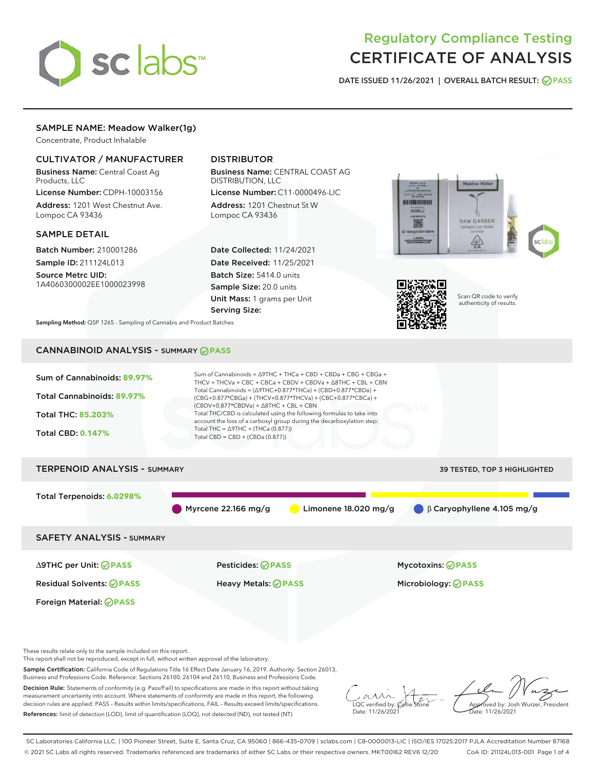

# Regulatory Compliance Testing CERTIFICATE OF ANALYSIS

DATE ISSUED 11/26/2021 | OVERALL BATCH RESULT: @ PASS

# SAMPLE NAME: Meadow Walker(1g)

Concentrate, Product Inhalable

# CULTIVATOR / MANUFACTURER

Business Name: Central Coast Ag Products, LLC

License Number: CDPH-10003156 Address: 1201 West Chestnut Ave. Lompoc CA 93436

### SAMPLE DETAIL

Batch Number: 210001286 Sample ID: 211124L013

Source Metrc UID: 1A4060300002EE1000023998

# DISTRIBUTOR

Business Name: CENTRAL COAST AG DISTRIBUTION, LLC

License Number: C11-0000496-LIC Address: 1201 Chestnut St W Lompoc CA 93436

Date Collected: 11/24/2021 Date Received: 11/25/2021 Batch Size: 5414.0 units Sample Size: 20.0 units Unit Mass: 1 grams per Unit Serving Size:





Scan QR code to verify authenticity of results.

Sampling Method: QSP 1265 - Sampling of Cannabis and Product Batches

# CANNABINOID ANALYSIS - SUMMARY **PASS**



Sample Certification: California Code of Regulations Title 16 Effect Date January 16, 2019. Authority: Section 26013, Business and Professions Code. Reference: Sections 26100, 26104 and 26110, Business and Professions Code.

Decision Rule: Statements of conformity (e.g. Pass/Fail) to specifications are made in this report without taking measurement uncertainty into account. Where statements of conformity are made in this report, the following decision rules are applied: PASS – Results within limits/specifications, FAIL – Results exceed limits/specifications. References: limit of detection (LOD), limit of quantification (LOQ), not detected (ND), not tested (NT)

 $\overline{\text{LOC}}$  verified by:  $\mathcal{C}$ Date: 11/26/202<sup>1</sup>

Approved by: Josh Wurzer, President ate: 11/26/2021

SC Laboratories California LLC. | 100 Pioneer Street, Suite E, Santa Cruz, CA 95060 | 866-435-0709 | sclabs.com | C8-0000013-LIC | ISO/IES 17025:2017 PJLA Accreditation Number 87168 © 2021 SC Labs all rights reserved. Trademarks referenced are trademarks of either SC Labs or their respective owners. MKT00162 REV6 12/20 CoA ID: 211124L013-001 Page 1 of 4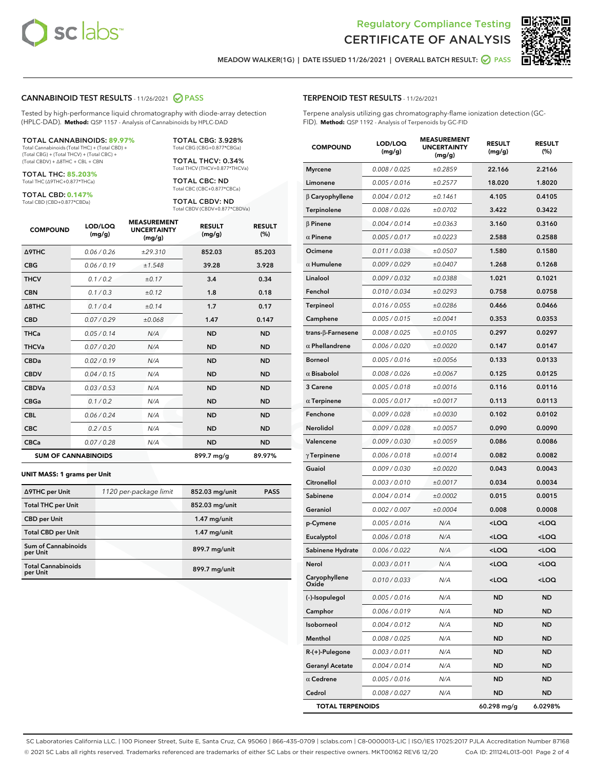

Terpene analysis utilizing gas chromatography-flame ionization detection (GC-



MEADOW WALKER(1G) | DATE ISSUED 11/26/2021 | OVERALL BATCH RESULT: **○** PASS

TERPENOID TEST RESULTS - 11/26/2021

FID). **Method:** QSP 1192 - Analysis of Terpenoids by GC-FID

## CANNABINOID TEST RESULTS - 11/26/2021 2 PASS

Tested by high-performance liquid chromatography with diode-array detection (HPLC-DAD). **Method:** QSP 1157 - Analysis of Cannabinoids by HPLC-DAD

#### TOTAL CANNABINOIDS: **89.97%**

Total Cannabinoids (Total THC) + (Total CBD) + (Total CBG) + (Total THCV) + (Total CBC) + (Total CBDV) + ∆8THC + CBL + CBN

TOTAL THC: **85.203%** Total THC (∆9THC+0.877\*THCa)

TOTAL CBD: **0.147%**

Total CBD (CBD+0.877\*CBDa)

TOTAL CBG: 3.928% Total CBG (CBG+0.877\*CBGa)

TOTAL THCV: 0.34% Total THCV (THCV+0.877\*THCVa)

TOTAL CBC: ND Total CBC (CBC+0.877\*CBCa)

TOTAL CBDV: ND Total CBDV (CBDV+0.877\*CBDVa)

| <b>COMPOUND</b>            | LOD/LOQ<br>(mg/g) | <b>MEASUREMENT</b><br><b>UNCERTAINTY</b><br>(mg/g) | <b>RESULT</b><br>(mg/g) | <b>RESULT</b><br>(%) |
|----------------------------|-------------------|----------------------------------------------------|-------------------------|----------------------|
| Δ9THC                      | 0.06 / 0.26       | ±29.310                                            | 852.03                  | 85.203               |
| <b>CBG</b>                 | 0.06/0.19         | ±1.548                                             | 39.28                   | 3.928                |
| <b>THCV</b>                | 0.1 / 0.2         | ±0.17                                              | 3.4                     | 0.34                 |
| <b>CBN</b>                 | 0.1/0.3           | ±0.12                                              | 1.8                     | 0.18                 |
| $\triangle$ 8THC           | 0.1 / 0.4         | ±0.14                                              | 1.7                     | 0.17                 |
| <b>CBD</b>                 | 0.07/0.29         | ±0.068                                             | 1.47                    | 0.147                |
| <b>THCa</b>                | 0.05/0.14         | N/A                                                | <b>ND</b>               | <b>ND</b>            |
| <b>THCVa</b>               | 0.07/0.20         | N/A                                                | <b>ND</b>               | <b>ND</b>            |
| <b>CBDa</b>                | 0.02/0.19         | N/A                                                | <b>ND</b>               | <b>ND</b>            |
| <b>CBDV</b>                | 0.04 / 0.15       | N/A                                                | <b>ND</b>               | <b>ND</b>            |
| <b>CBDVa</b>               | 0.03/0.53         | N/A                                                | <b>ND</b>               | <b>ND</b>            |
| <b>CBGa</b>                | 0.1 / 0.2         | N/A                                                | <b>ND</b>               | <b>ND</b>            |
| <b>CBL</b>                 | 0.06 / 0.24       | N/A                                                | <b>ND</b>               | <b>ND</b>            |
| <b>CBC</b>                 | 0.2 / 0.5         | N/A                                                | <b>ND</b>               | <b>ND</b>            |
| <b>CBCa</b>                | 0.07/0.28         | N/A                                                | <b>ND</b>               | <b>ND</b>            |
| <b>SUM OF CANNABINOIDS</b> |                   |                                                    | 899.7 mg/g              | 89.97%               |

#### **UNIT MASS: 1 grams per Unit**

| ∆9THC per Unit                         | 1120 per-package limit | 852.03 mg/unit | <b>PASS</b> |
|----------------------------------------|------------------------|----------------|-------------|
| <b>Total THC per Unit</b>              |                        | 852.03 mg/unit |             |
| <b>CBD</b> per Unit                    |                        | $1.47$ mg/unit |             |
| <b>Total CBD per Unit</b>              |                        | $1.47$ mg/unit |             |
| <b>Sum of Cannabinoids</b><br>per Unit |                        | 899.7 mg/unit  |             |
| <b>Total Cannabinoids</b><br>per Unit  |                        | 899.7 mg/unit  |             |

| <b>COMPOUND</b>           | LOD/LOQ<br>(mg/g) | <b>MEASUREMENT</b><br><b>UNCERTAINTY</b><br>(mg/g) | <b>RESULT</b><br>(mg/g)                         | <b>RESULT</b><br>(%) |
|---------------------------|-------------------|----------------------------------------------------|-------------------------------------------------|----------------------|
| <b>Myrcene</b>            | 0.008 / 0.025     | ±0.2859                                            | 22.166                                          | 2.2166               |
| Limonene                  | 0.005 / 0.016     | ±0.2577                                            | 18.020                                          | 1.8020               |
| $\beta$ Caryophyllene     | 0.004 / 0.012     | ±0.1461                                            | 4.105                                           | 0.4105               |
| Terpinolene               | 0.008 / 0.026     | ±0.0702                                            | 3.422                                           | 0.3422               |
| $\beta$ Pinene            | 0.004 / 0.014     | ±0.0363                                            | 3.160                                           | 0.3160               |
| $\alpha$ Pinene           | 0.005 / 0.017     | ±0.0223                                            | 2.588                                           | 0.2588               |
| Ocimene                   | 0.011 / 0.038     | ±0.0507                                            | 1.580                                           | 0.1580               |
| $\alpha$ Humulene         | 0.009 / 0.029     | ±0.0407                                            | 1.268                                           | 0.1268               |
| Linalool                  | 0.009 / 0.032     | ±0.0388                                            | 1.021                                           | 0.1021               |
| Fenchol                   | 0.010 / 0.034     | ±0.0293                                            | 0.758                                           | 0.0758               |
| Terpineol                 | 0.016 / 0.055     | ±0.0286                                            | 0.466                                           | 0.0466               |
| Camphene                  | 0.005 / 0.015     | ±0.0041                                            | 0.353                                           | 0.0353               |
| trans- $\beta$ -Farnesene | 0.008 / 0.025     | ±0.0105                                            | 0.297                                           | 0.0297               |
| $\alpha$ Phellandrene     | 0.006 / 0.020     | ±0.0020                                            | 0.147                                           | 0.0147               |
| <b>Borneol</b>            | 0.005 / 0.016     | ±0.0056                                            | 0.133                                           | 0.0133               |
| $\alpha$ Bisabolol        | 0.008 / 0.026     | ±0.0067                                            | 0.125                                           | 0.0125               |
| 3 Carene                  | 0.005 / 0.018     | ±0.0016                                            | 0.116                                           | 0.0116               |
| $\alpha$ Terpinene        | 0.005 / 0.017     | ±0.0017                                            | 0.113                                           | 0.0113               |
| Fenchone                  | 0.009 / 0.028     | ±0.0030                                            | 0.102                                           | 0.0102               |
| Nerolidol                 | 0.009 / 0.028     | ±0.0057                                            | 0.090                                           | 0.0090               |
| Valencene                 | 0.009 / 0.030     | ±0.0059                                            | 0.086                                           | 0.0086               |
| $\gamma$ Terpinene        | 0.006 / 0.018     | ±0.0014                                            | 0.082                                           | 0.0082               |
| Guaiol                    | 0.009 / 0.030     | ±0.0020                                            | 0.043                                           | 0.0043               |
| Citronellol               | 0.003 / 0.010     | ±0.0017                                            | 0.034                                           | 0.0034               |
| Sabinene                  | 0.004 / 0.014     | ±0.0002                                            | 0.015                                           | 0.0015               |
| Geraniol                  | 0.002 / 0.007     | ±0.0004                                            | 0.008                                           | 0.0008               |
| p-Cymene                  | 0.005 / 0.016     | N/A                                                | <loq< th=""><th><loq< th=""></loq<></th></loq<> | <loq< th=""></loq<>  |
| Eucalyptol                | 0.006 / 0.018     | N/A                                                | <loq< th=""><th><loq< th=""></loq<></th></loq<> | <loq< th=""></loq<>  |
| Sabinene Hydrate          | 0.006 / 0.022     | N/A                                                | $<$ LOQ                                         | <loq< th=""></loq<>  |
| Nerol                     | 0.003 / 0.011     | N/A                                                | <loq< th=""><th><loq< th=""></loq<></th></loq<> | <loq< th=""></loq<>  |
| Caryophyllene<br>Oxide    | 0.010 / 0.033     | N/A                                                | 100                                             | <loq< th=""></loq<>  |
| (-)-Isopulegol            | 0.005 / 0.016     | N/A                                                | ND                                              | ND                   |
| Camphor                   | 0.006 / 0.019     | N/A                                                | ND                                              | ND                   |
| Isoborneol                | 0.004 / 0.012     | N/A                                                | ND                                              | ND                   |
| Menthol                   | 0.008 / 0.025     | N/A                                                | ND                                              | ND                   |
| R-(+)-Pulegone            | 0.003 / 0.011     | N/A                                                | ND                                              | ND                   |
| <b>Geranyl Acetate</b>    | 0.004 / 0.014     | N/A                                                | ND                                              | ND                   |
| $\alpha$ Cedrene          | 0.005 / 0.016     | N/A                                                | ND                                              | ND                   |
| Cedrol                    | 0.008 / 0.027     | N/A                                                | ND                                              | ND                   |
| <b>TOTAL TERPENOIDS</b>   |                   |                                                    | 60.298 mg/g                                     | 6.0298%              |

SC Laboratories California LLC. | 100 Pioneer Street, Suite E, Santa Cruz, CA 95060 | 866-435-0709 | sclabs.com | C8-0000013-LIC | ISO/IES 17025:2017 PJLA Accreditation Number 87168 © 2021 SC Labs all rights reserved. Trademarks referenced are trademarks of either SC Labs or their respective owners. MKT00162 REV6 12/20 CoA ID: 211124L013-001 Page 2 of 4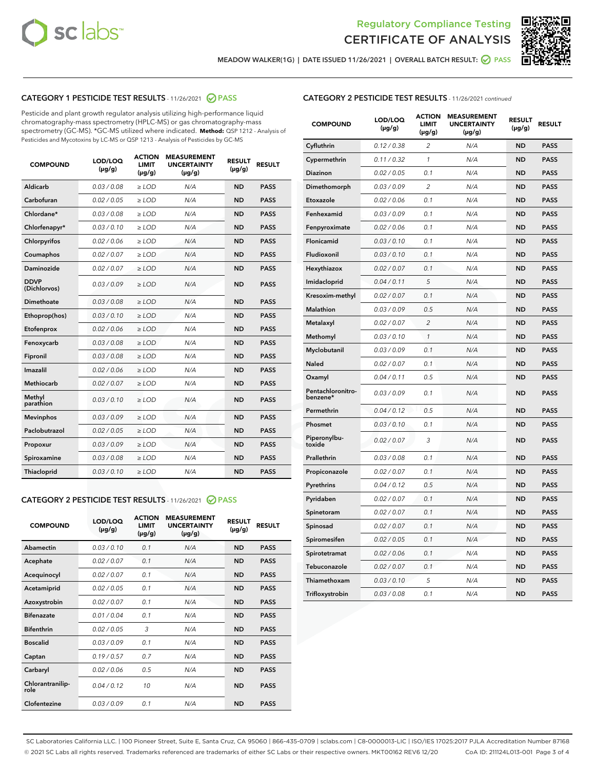



MEADOW WALKER(1G) | DATE ISSUED 11/26/2021 | OVERALL BATCH RESULT: **⊘** PASS

# CATEGORY 1 PESTICIDE TEST RESULTS - 11/26/2021 2 PASS

Pesticide and plant growth regulator analysis utilizing high-performance liquid chromatography-mass spectrometry (HPLC-MS) or gas chromatography-mass spectrometry (GC-MS). \*GC-MS utilized where indicated. **Method:** QSP 1212 - Analysis of Pesticides and Mycotoxins by LC-MS or QSP 1213 - Analysis of Pesticides by GC-MS

| <b>COMPOUND</b>             | LOD/LOQ<br>$(\mu g/g)$ | <b>ACTION</b><br><b>LIMIT</b><br>$(\mu q/q)$ | <b>MEASUREMENT</b><br><b>UNCERTAINTY</b><br>$(\mu g/g)$ | <b>RESULT</b><br>$(\mu g/g)$ | <b>RESULT</b> |
|-----------------------------|------------------------|----------------------------------------------|---------------------------------------------------------|------------------------------|---------------|
| Aldicarb                    | 0.03/0.08              | $\ge$ LOD                                    | N/A                                                     | <b>ND</b>                    | <b>PASS</b>   |
| Carbofuran                  | 0.02 / 0.05            | $\geq$ LOD                                   | N/A                                                     | <b>ND</b>                    | <b>PASS</b>   |
| Chlordane*                  | 0.03 / 0.08            | $\ge$ LOD                                    | N/A                                                     | <b>ND</b>                    | <b>PASS</b>   |
| Chlorfenapyr*               | 0.03/0.10              | $\ge$ LOD                                    | N/A                                                     | <b>ND</b>                    | <b>PASS</b>   |
| Chlorpyrifos                | 0.02 / 0.06            | $\ge$ LOD                                    | N/A                                                     | <b>ND</b>                    | <b>PASS</b>   |
| Coumaphos                   | 0.02 / 0.07            | $\ge$ LOD                                    | N/A                                                     | <b>ND</b>                    | <b>PASS</b>   |
| Daminozide                  | 0.02 / 0.07            | $\ge$ LOD                                    | N/A                                                     | <b>ND</b>                    | <b>PASS</b>   |
| <b>DDVP</b><br>(Dichlorvos) | 0.03/0.09              | $\ge$ LOD                                    | N/A                                                     | <b>ND</b>                    | <b>PASS</b>   |
| Dimethoate                  | 0.03 / 0.08            | $\ge$ LOD                                    | N/A                                                     | <b>ND</b>                    | <b>PASS</b>   |
| Ethoprop(hos)               | 0.03/0.10              | $\ge$ LOD                                    | N/A                                                     | <b>ND</b>                    | <b>PASS</b>   |
| Etofenprox                  | 0.02/0.06              | $>$ LOD                                      | N/A                                                     | <b>ND</b>                    | <b>PASS</b>   |
| Fenoxycarb                  | 0.03 / 0.08            | $\ge$ LOD                                    | N/A                                                     | <b>ND</b>                    | <b>PASS</b>   |
| Fipronil                    | 0.03/0.08              | $>$ LOD                                      | N/A                                                     | <b>ND</b>                    | <b>PASS</b>   |
| Imazalil                    | 0.02 / 0.06            | $\ge$ LOD                                    | N/A                                                     | <b>ND</b>                    | <b>PASS</b>   |
| Methiocarb                  | 0.02 / 0.07            | $\ge$ LOD                                    | N/A                                                     | <b>ND</b>                    | <b>PASS</b>   |
| Methyl<br>parathion         | 0.03/0.10              | $>$ LOD                                      | N/A                                                     | <b>ND</b>                    | <b>PASS</b>   |
| <b>Mevinphos</b>            | 0.03/0.09              | $>$ LOD                                      | N/A                                                     | <b>ND</b>                    | <b>PASS</b>   |
| Paclobutrazol               | 0.02 / 0.05            | $>$ LOD                                      | N/A                                                     | <b>ND</b>                    | <b>PASS</b>   |
| Propoxur                    | 0.03/0.09              | $\ge$ LOD                                    | N/A                                                     | <b>ND</b>                    | <b>PASS</b>   |
| Spiroxamine                 | 0.03 / 0.08            | $\ge$ LOD                                    | N/A                                                     | <b>ND</b>                    | <b>PASS</b>   |
| Thiacloprid                 | 0.03/0.10              | $\ge$ LOD                                    | N/A                                                     | <b>ND</b>                    | <b>PASS</b>   |

# CATEGORY 2 PESTICIDE TEST RESULTS - 11/26/2021 @ PASS

| <b>COMPOUND</b>          | LOD/LOO<br>$(\mu g/g)$ | <b>ACTION</b><br>LIMIT<br>$(\mu g/g)$ | <b>MEASUREMENT</b><br><b>UNCERTAINTY</b><br>$(\mu g/g)$ | <b>RESULT</b><br>$(\mu g/g)$ | <b>RESULT</b> |  |
|--------------------------|------------------------|---------------------------------------|---------------------------------------------------------|------------------------------|---------------|--|
| Abamectin                | 0.03/0.10              | 0.1                                   | N/A                                                     | <b>ND</b>                    | <b>PASS</b>   |  |
| Acephate                 | 0.02/0.07              | 0.1                                   | N/A                                                     | <b>ND</b>                    | <b>PASS</b>   |  |
| Acequinocyl              | 0.02/0.07              | 0.1                                   | N/A                                                     | <b>ND</b>                    | <b>PASS</b>   |  |
| Acetamiprid              | 0.02 / 0.05            | 0.1                                   | N/A                                                     | <b>ND</b>                    | <b>PASS</b>   |  |
| Azoxystrobin             | 0.02/0.07              | 0.1                                   | N/A                                                     | <b>ND</b>                    | <b>PASS</b>   |  |
| <b>Bifenazate</b>        | 0.01 / 0.04            | 0.1                                   | N/A                                                     | <b>ND</b>                    | <b>PASS</b>   |  |
| <b>Bifenthrin</b>        | 0.02 / 0.05            | 3                                     | N/A                                                     | <b>ND</b>                    | <b>PASS</b>   |  |
| <b>Boscalid</b>          | 0.03/0.09              | 0.1                                   | N/A                                                     | <b>ND</b>                    | <b>PASS</b>   |  |
| Captan                   | 0.19/0.57              | 0.7                                   | N/A                                                     | <b>ND</b>                    | <b>PASS</b>   |  |
| Carbaryl                 | 0.02/0.06              | 0.5                                   | N/A                                                     | <b>ND</b>                    | <b>PASS</b>   |  |
| Chlorantranilip-<br>role | 0.04/0.12              | 10                                    | N/A                                                     | <b>ND</b>                    | <b>PASS</b>   |  |
| Clofentezine             | 0.03/0.09              | 0.1                                   | N/A                                                     | <b>ND</b>                    | <b>PASS</b>   |  |

# CATEGORY 2 PESTICIDE TEST RESULTS - 11/26/2021 continued

| <b>COMPOUND</b>               | LOD/LOQ<br>(µg/g) | <b>ACTION</b><br>LIMIT<br>$(\mu g/g)$ | <b>MEASUREMENT</b><br><b>UNCERTAINTY</b><br>(µg/g) | <b>RESULT</b><br>(µg/g) | <b>RESULT</b> |
|-------------------------------|-------------------|---------------------------------------|----------------------------------------------------|-------------------------|---------------|
| Cyfluthrin                    | 0.12 / 0.38       | 2                                     | N/A                                                | ND                      | <b>PASS</b>   |
| Cypermethrin                  | 0.11 / 0.32       | 1                                     | N/A                                                | ND                      | PASS          |
| Diazinon                      | 0.02 / 0.05       | 0.1                                   | N/A                                                | ND                      | PASS          |
| Dimethomorph                  | 0.03 / 0.09       | 2                                     | N/A                                                | <b>ND</b>               | <b>PASS</b>   |
| Etoxazole                     | 0.02 / 0.06       | 0.1                                   | N/A                                                | ND                      | <b>PASS</b>   |
| Fenhexamid                    | 0.03 / 0.09       | 0.1                                   | N/A                                                | ND                      | <b>PASS</b>   |
| Fenpyroximate                 | 0.02 / 0.06       | 0.1                                   | N/A                                                | <b>ND</b>               | <b>PASS</b>   |
| Flonicamid                    | 0.03 / 0.10       | 0.1                                   | N/A                                                | <b>ND</b>               | <b>PASS</b>   |
| Fludioxonil                   | 0.03 / 0.10       | 0.1                                   | N/A                                                | <b>ND</b>               | <b>PASS</b>   |
| Hexythiazox                   | 0.02 / 0.07       | 0.1                                   | N/A                                                | <b>ND</b>               | PASS          |
| Imidacloprid                  | 0.04 / 0.11       | 5                                     | N/A                                                | <b>ND</b>               | <b>PASS</b>   |
| Kresoxim-methyl               | 0.02 / 0.07       | 0.1                                   | N/A                                                | ND                      | <b>PASS</b>   |
| Malathion                     | 0.03 / 0.09       | 0.5                                   | N/A                                                | <b>ND</b>               | <b>PASS</b>   |
| Metalaxyl                     | 0.02 / 0.07       | $\overline{c}$                        | N/A                                                | <b>ND</b>               | <b>PASS</b>   |
| Methomyl                      | 0.03 / 0.10       | 1                                     | N/A                                                | ND                      | <b>PASS</b>   |
| Myclobutanil                  | 0.03/0.09         | 0.1                                   | N/A                                                | <b>ND</b>               | <b>PASS</b>   |
| Naled                         | 0.02 / 0.07       | 0.1                                   | N/A                                                | ND                      | <b>PASS</b>   |
| Oxamyl                        | 0.04 / 0.11       | 0.5                                   | N/A                                                | ND                      | <b>PASS</b>   |
| Pentachloronitro-<br>benzene* | 0.03 / 0.09       | 0.1                                   | N/A                                                | ND                      | <b>PASS</b>   |
| Permethrin                    | 0.04/0.12         | 0.5                                   | N/A                                                | <b>ND</b>               | <b>PASS</b>   |
| Phosmet                       | 0.03 / 0.10       | 0.1                                   | N/A                                                | ND                      | <b>PASS</b>   |
| Piperonylbu-<br>toxide        | 0.02 / 0.07       | 3                                     | N/A                                                | <b>ND</b>               | <b>PASS</b>   |
| Prallethrin                   | 0.03 / 0.08       | 0.1                                   | N/A                                                | <b>ND</b>               | <b>PASS</b>   |
| Propiconazole                 | 0.02 / 0.07       | 0.1                                   | N/A                                                | ND                      | <b>PASS</b>   |
| Pyrethrins                    | 0.04 / 0.12       | 0.5                                   | N/A                                                | ND                      | <b>PASS</b>   |
| Pyridaben                     | 0.02 / 0.07       | 0.1                                   | N/A                                                | <b>ND</b>               | <b>PASS</b>   |
| Spinetoram                    | 0.02 / 0.07       | 0.1                                   | N/A                                                | ND                      | <b>PASS</b>   |
| Spinosad                      | 0.02 / 0.07       | 0.1                                   | N/A                                                | ND                      | <b>PASS</b>   |
| Spiromesifen                  | 0.02 / 0.05       | 0.1                                   | N/A                                                | <b>ND</b>               | <b>PASS</b>   |
| Spirotetramat                 | 0.02 / 0.06       | 0.1                                   | N/A                                                | ND                      | <b>PASS</b>   |
| Tebuconazole                  | 0.02 / 0.07       | 0.1                                   | N/A                                                | ND                      | <b>PASS</b>   |
| Thiamethoxam                  | 0.03 / 0.10       | 5                                     | N/A                                                | <b>ND</b>               | <b>PASS</b>   |
| Trifloxystrobin               | 0.03 / 0.08       | 0.1                                   | N/A                                                | <b>ND</b>               | <b>PASS</b>   |

SC Laboratories California LLC. | 100 Pioneer Street, Suite E, Santa Cruz, CA 95060 | 866-435-0709 | sclabs.com | C8-0000013-LIC | ISO/IES 17025:2017 PJLA Accreditation Number 87168 © 2021 SC Labs all rights reserved. Trademarks referenced are trademarks of either SC Labs or their respective owners. MKT00162 REV6 12/20 CoA ID: 211124L013-001 Page 3 of 4